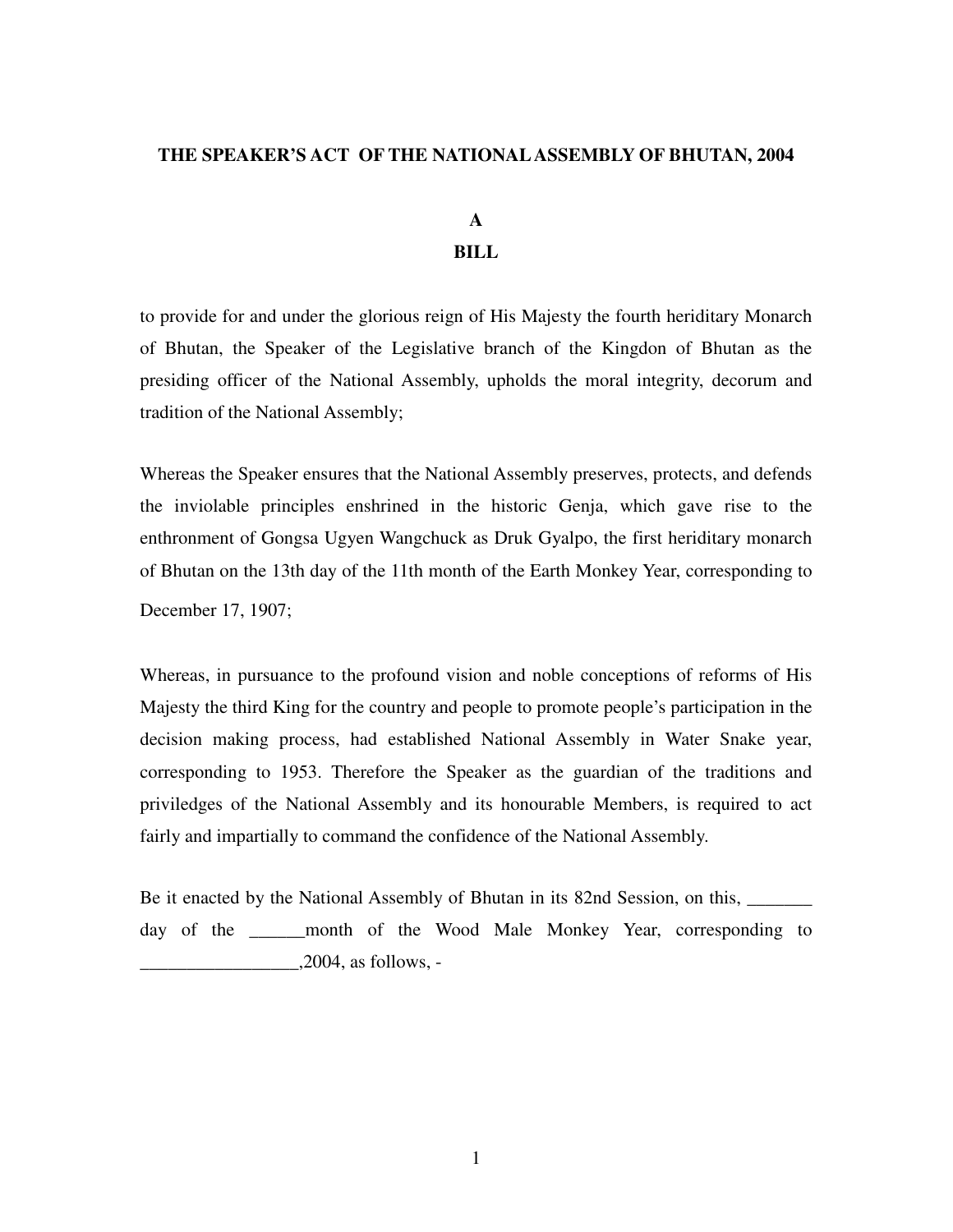### **THE SPEAKER'S ACT OF THE NATIONAL ASSEMBLY OF BHUTAN, 2004**

# **A BILL**

to provide for and under the glorious reign of His Majesty the fourth heriditary Monarch of Bhutan, the Speaker of the Legislative branch of the Kingdon of Bhutan as the presiding officer of the National Assembly, upholds the moral integrity, decorum and tradition of the National Assembly;

Whereas the Speaker ensures that the National Assembly preserves, protects, and defends the inviolable principles enshrined in the historic Genja, which gave rise to the enthronment of Gongsa Ugyen Wangchuck as Druk Gyalpo, the first heriditary monarch of Bhutan on the 13th day of the 11th month of the Earth Monkey Year, corresponding to December 17, 1907;

Whereas, in pursuance to the profound vision and noble conceptions of reforms of His Majesty the third King for the country and people to promote people's participation in the decision making process, had established National Assembly in Water Snake year, corresponding to 1953. Therefore the Speaker as the guardian of the traditions and priviledges of the National Assembly and its honourable Members, is required to act fairly and impartially to command the confidence of the National Assembly.

Be it enacted by the National Assembly of Bhutan in its 82nd Session, on this, \_\_\_\_\_\_\_ day of the \_\_\_\_\_\_month of the Wood Male Monkey Year, corresponding to  $2004$ , as follows, -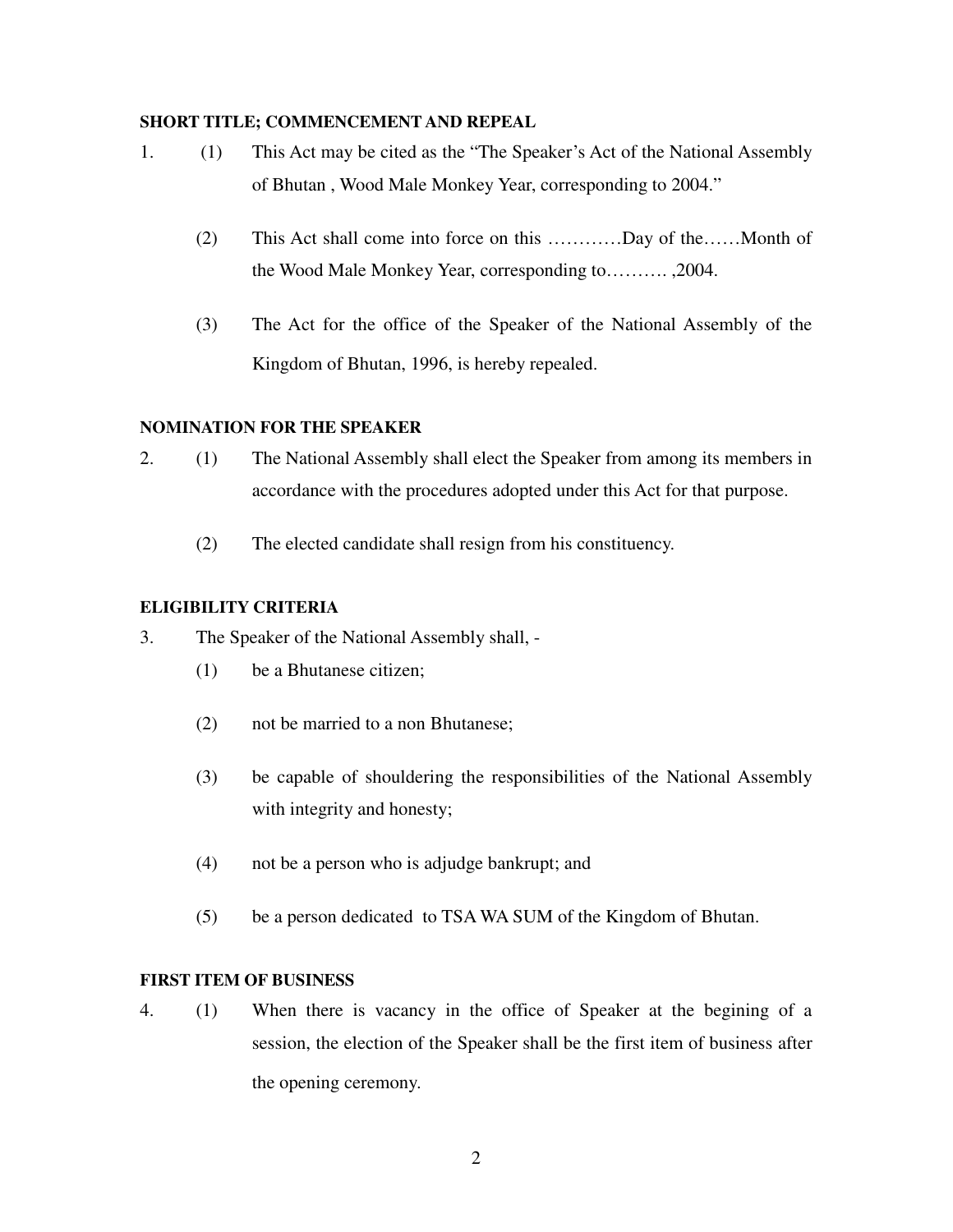### **SHORT TITLE; COMMENCEMENT AND REPEAL**

- 1. (1) This Act may be cited as the "The Speaker's Act of the National Assembly of Bhutan , Wood Male Monkey Year, corresponding to 2004."
	- (2) This Act shall come into force on this …………Day of the……Month of the Wood Male Monkey Year, corresponding to………. ,2004.
	- (3) The Act for the office of the Speaker of the National Assembly of the Kingdom of Bhutan, 1996, is hereby repealed.

### **NOMINATION FOR THE SPEAKER**

- 2. (1) The National Assembly shall elect the Speaker from among its members in accordance with the procedures adopted under this Act for that purpose.
	- (2) The elected candidate shall resign from his constituency.

### **ELIGIBILITY CRITERIA**

- 3. The Speaker of the National Assembly shall,
	- (1) be a Bhutanese citizen;
	- (2) not be married to a non Bhutanese;
	- (3) be capable of shouldering the responsibilities of the National Assembly with integrity and honesty;
	- (4) not be a person who is adjudge bankrupt; and
	- (5) be a person dedicated to TSA WA SUM of the Kingdom of Bhutan.

### **FIRST ITEM OF BUSINESS**

4. (1) When there is vacancy in the office of Speaker at the begining of a session, the election of the Speaker shall be the first item of business after the opening ceremony.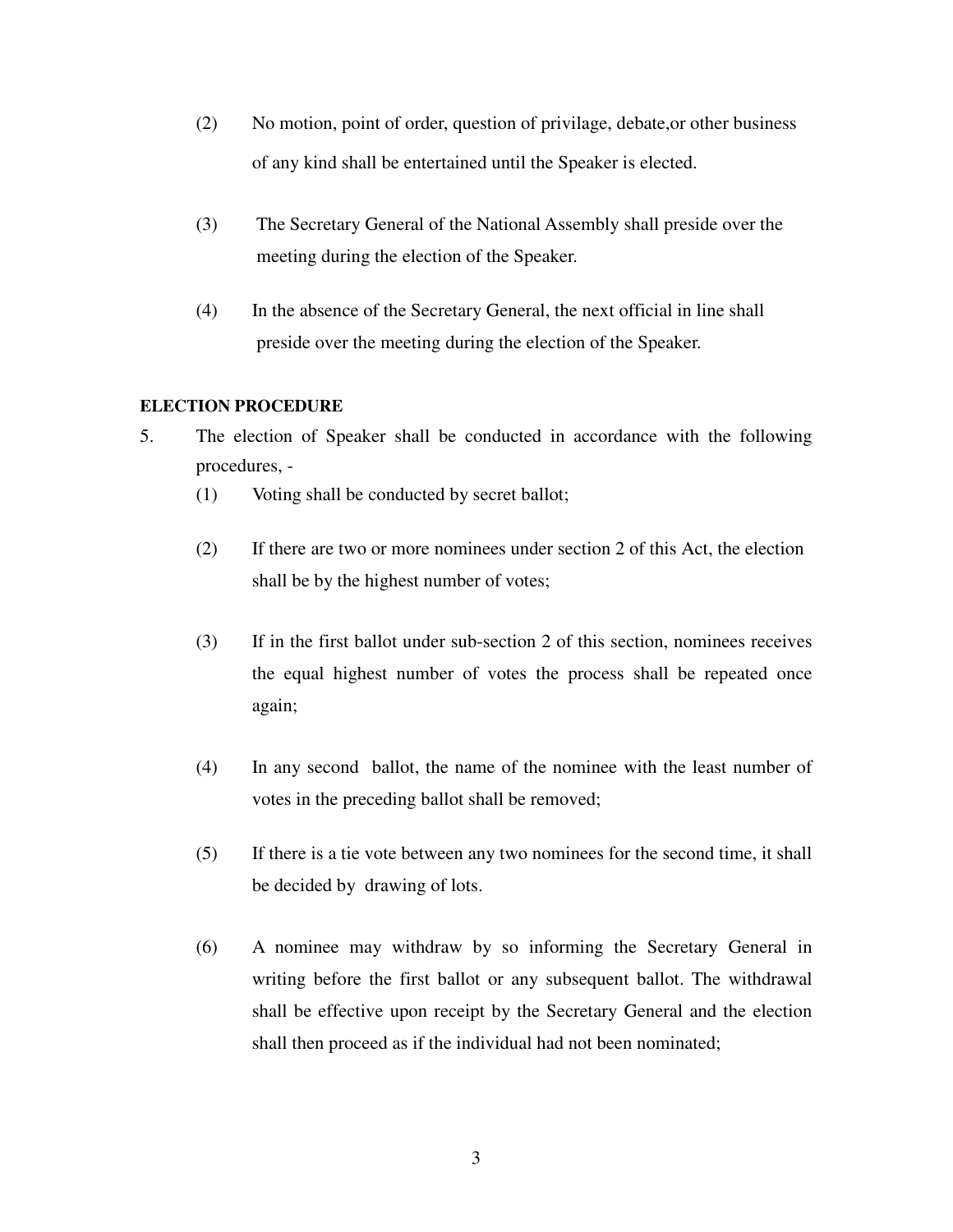- (2) No motion, point of order, question of privilage, debate,or other business of any kind shall be entertained until the Speaker is elected.
- (3) The Secretary General of the National Assembly shall preside over the meeting during the election of the Speaker.
- (4) In the absence of the Secretary General, the next official in line shall preside over the meeting during the election of the Speaker.

# **ELECTION PROCEDURE**

- 5. The election of Speaker shall be conducted in accordance with the following procedures, -
	- (1) Voting shall be conducted by secret ballot;
	- (2) If there are two or more nominees under section 2 of this Act, the election shall be by the highest number of votes;
	- (3) If in the first ballot under sub-section 2 of this section, nominees receives the equal highest number of votes the process shall be repeated once again;
	- (4) In any second ballot, the name of the nominee with the least number of votes in the preceding ballot shall be removed;
	- (5) If there is a tie vote between any two nominees for the second time, it shall be decided by drawing of lots.
	- (6) A nominee may withdraw by so informing the Secretary General in writing before the first ballot or any subsequent ballot. The withdrawal shall be effective upon receipt by the Secretary General and the election shall then proceed as if the individual had not been nominated;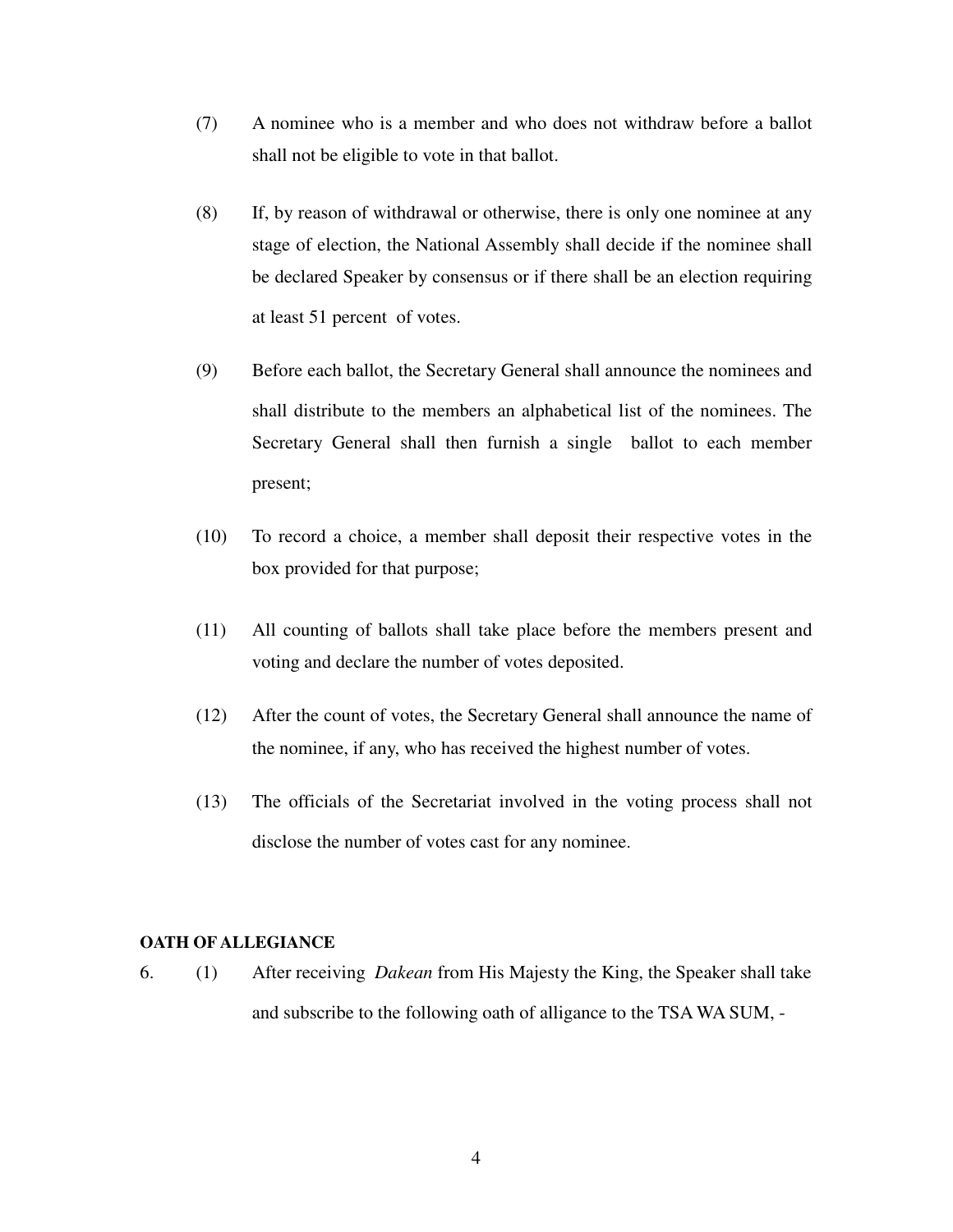- (7) A nominee who is a member and who does not withdraw before a ballot shall not be eligible to vote in that ballot.
- (8) If, by reason of withdrawal or otherwise, there is only one nominee at any stage of election, the National Assembly shall decide if the nominee shall be declared Speaker by consensus or if there shall be an election requiring at least 51 percent of votes.
- (9) Before each ballot, the Secretary General shall announce the nominees and shall distribute to the members an alphabetical list of the nominees. The Secretary General shall then furnish a single ballot to each member present;
- (10) To record a choice, a member shall deposit their respective votes in the box provided for that purpose;
- (11) All counting of ballots shall take place before the members present and voting and declare the number of votes deposited.
- (12) After the count of votes, the Secretary General shall announce the name of the nominee, if any, who has received the highest number of votes.
- (13) The officials of the Secretariat involved in the voting process shall not disclose the number of votes cast for any nominee.

#### **OATH OF ALLEGIANCE**

6. (1) After receiving *Dakean* from His Majesty the King, the Speaker shall take and subscribe to the following oath of alligance to the TSA WA SUM, -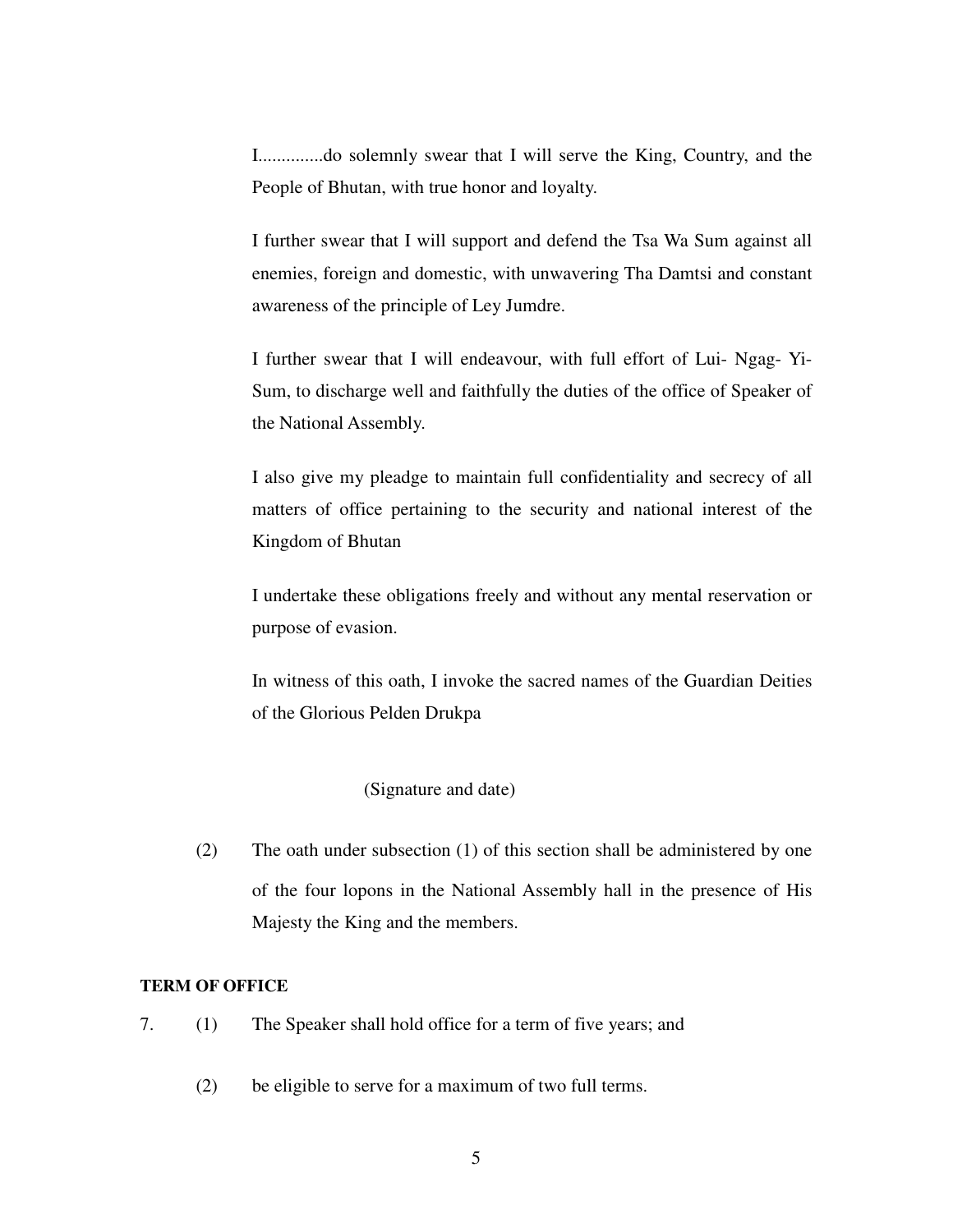I..............do solemnly swear that I will serve the King, Country, and the People of Bhutan, with true honor and loyalty.

I further swear that I will support and defend the Tsa Wa Sum against all enemies, foreign and domestic, with unwavering Tha Damtsi and constant awareness of the principle of Ley Jumdre.

I further swear that I will endeavour, with full effort of Lui- Ngag- Yi-Sum, to discharge well and faithfully the duties of the office of Speaker of the National Assembly.

I also give my pleadge to maintain full confidentiality and secrecy of all matters of office pertaining to the security and national interest of the Kingdom of Bhutan

I undertake these obligations freely and without any mental reservation or purpose of evasion.

In witness of this oath, I invoke the sacred names of the Guardian Deities of the Glorious Pelden Drukpa

### (Signature and date)

(2) The oath under subsection (1) of this section shall be administered by one of the four lopons in the National Assembly hall in the presence of His Majesty the King and the members.

#### **TERM OF OFFICE**

- 7.(1) The Speaker shall hold office for a term of five years; and
	- (2) be eligible to serve for a maximum of two full terms.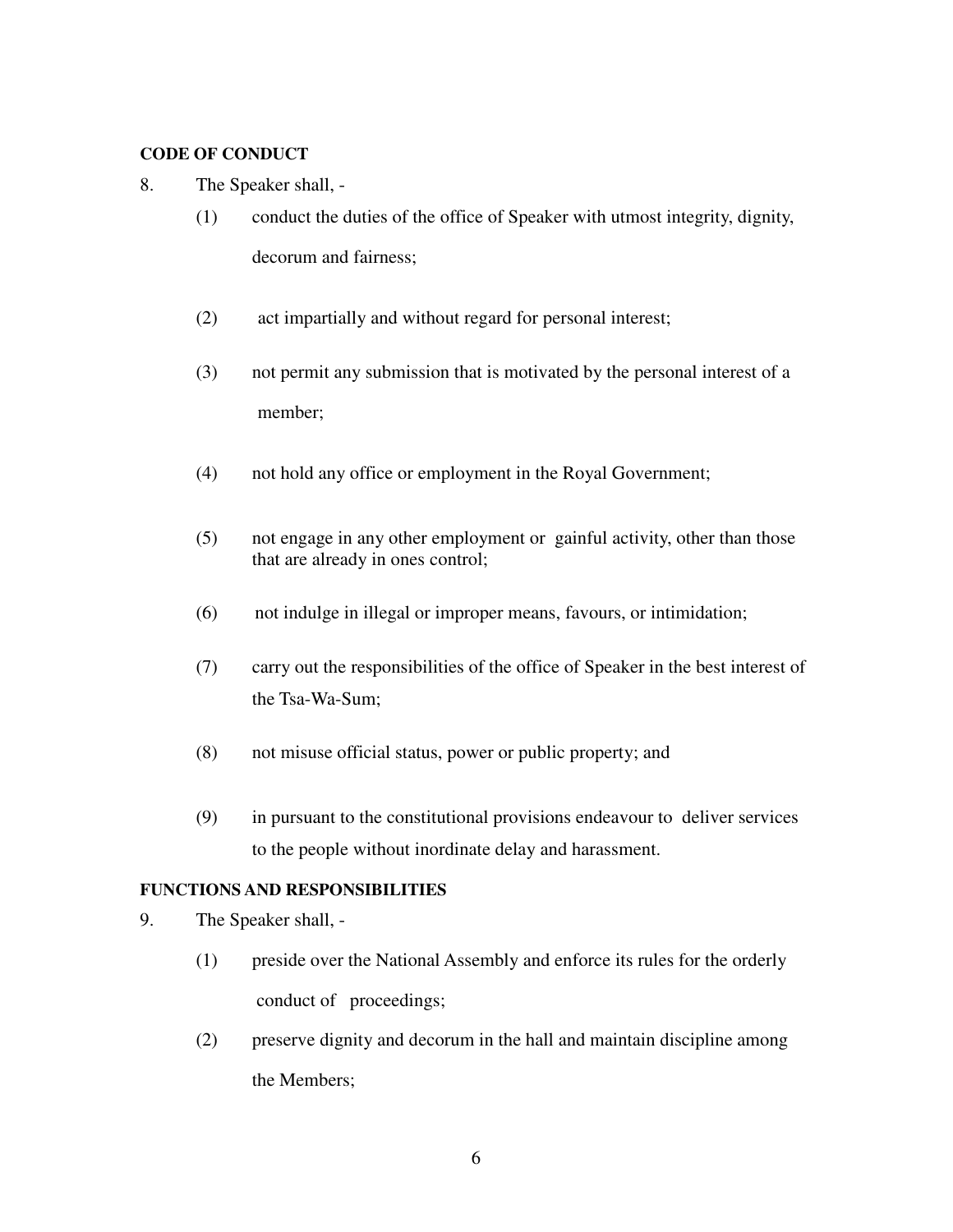# **CODE OF CONDUCT**

- 8. The Speaker shall,
	- (1) conduct the duties of the office of Speaker with utmost integrity, dignity, decorum and fairness;
	- (2) act impartially and without regard for personal interest;
	- (3) not permit any submission that is motivated by the personal interest of a member;
	- (4) not hold any office or employment in the Royal Government;
	- (5) not engage in any other employment or gainful activity, other than those that are already in ones control;
	- (6) not indulge in illegal or improper means, favours, or intimidation;
	- (7) carry out the responsibilities of the office of Speaker in the best interest of the Tsa-Wa-Sum;
	- (8) not misuse official status, power or public property; and
	- (9) in pursuant to the constitutional provisions endeavour to deliver services to the people without inordinate delay and harassment.

# **FUNCTIONS AND RESPONSIBILITIES**

- 9. The Speaker shall,
	- (1) preside over the National Assembly and enforce its rules for the orderly conduct of proceedings;
	- (2) preserve dignity and decorum in the hall and maintain discipline among the Members;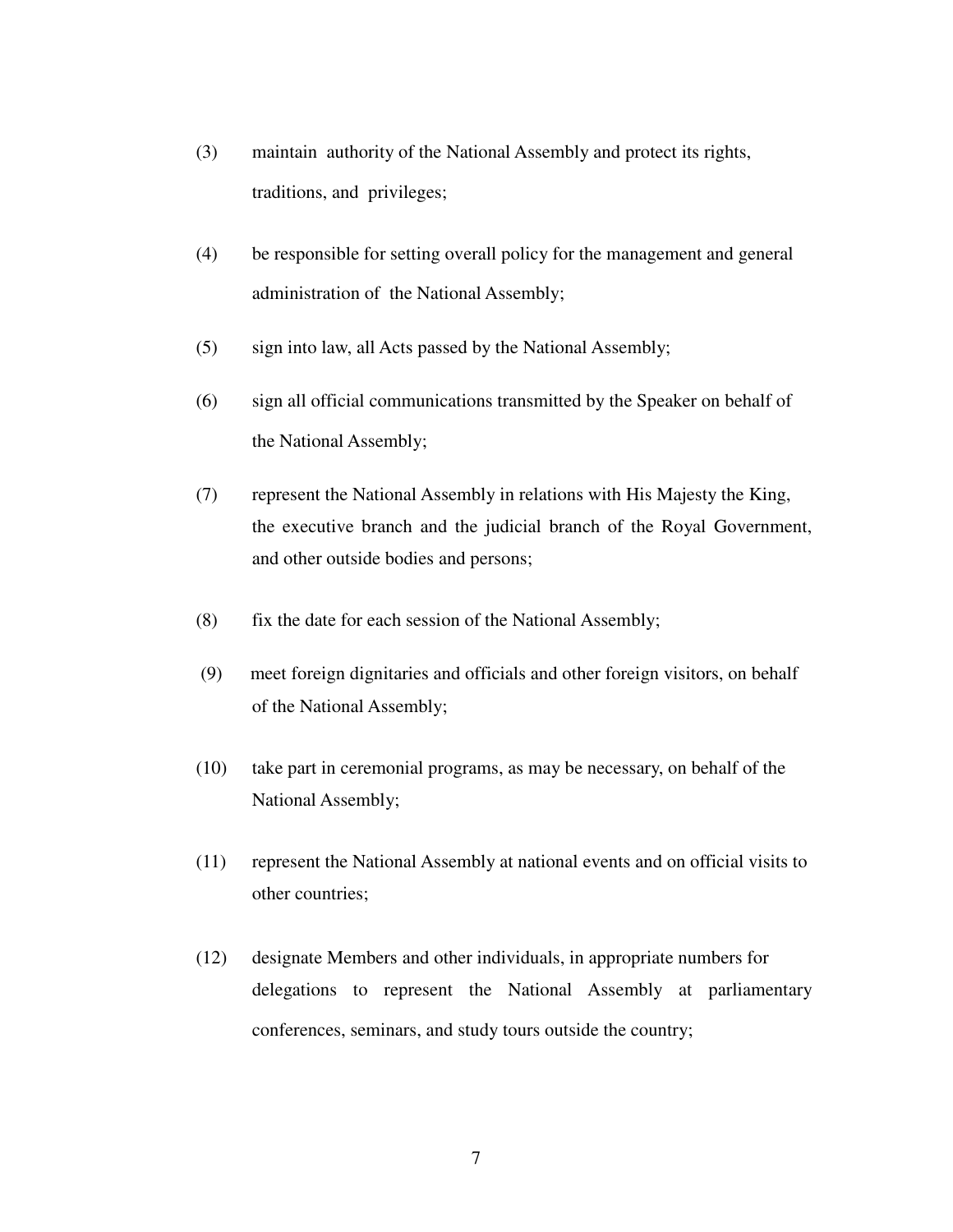- (3) maintain authority of the National Assembly and protect its rights, traditions, and privileges;
- (4) be responsible for setting overall policy for the management and general administration of the National Assembly;
- (5) sign into law, all Acts passed by the National Assembly;
- (6) sign all official communications transmitted by the Speaker on behalf of the National Assembly;
- (7) represent the National Assembly in relations with His Majesty the King, the executive branch and the judicial branch of the Royal Government, and other outside bodies and persons;
- (8) fix the date for each session of the National Assembly;
- (9) meet foreign dignitaries and officials and other foreign visitors, on behalf of the National Assembly;
- (10) take part in ceremonial programs, as may be necessary, on behalf of the National Assembly;
- (11) represent the National Assembly at national events and on official visits to other countries;
- (12) designate Members and other individuals, in appropriate numbers for delegations to represent the National Assembly at parliamentary conferences, seminars, and study tours outside the country;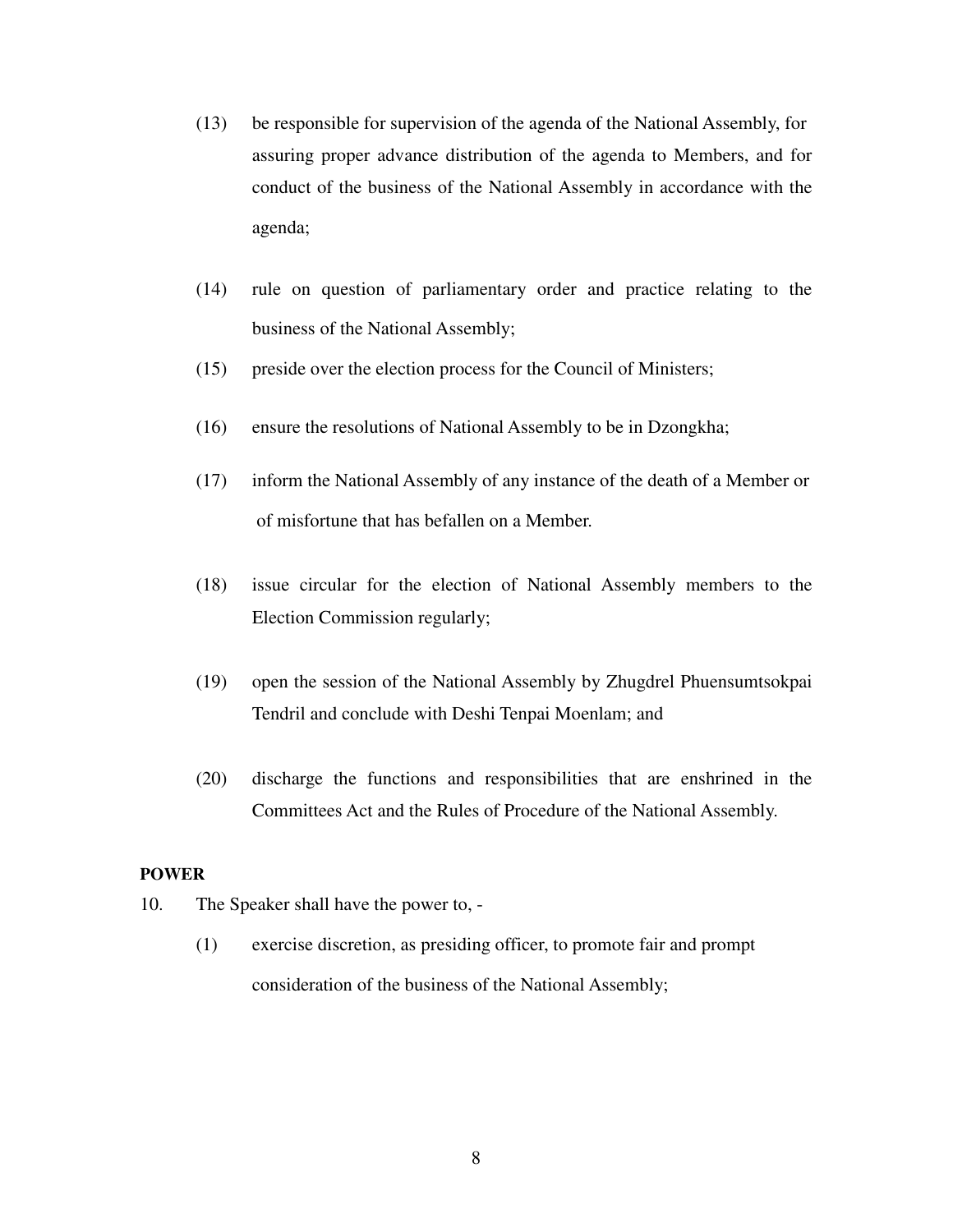- (13) be responsible for supervision of the agenda of the National Assembly, for assuring proper advance distribution of the agenda to Members, and for conduct of the business of the National Assembly in accordance with the agenda;
- (14) rule on question of parliamentary order and practice relating to the business of the National Assembly;
- (15) preside over the election process for the Council of Ministers;
- (16) ensure the resolutions of National Assembly to be in Dzongkha;
- (17) inform the National Assembly of any instance of the death of a Member or of misfortune that has befallen on a Member.
- (18) issue circular for the election of National Assembly members to the Election Commission regularly;
- (19) open the session of the National Assembly by Zhugdrel Phuensumtsokpai Tendril and conclude with Deshi Tenpai Moenlam; and
- (20) discharge the functions and responsibilities that are enshrined in the Committees Act and the Rules of Procedure of the National Assembly.

### **POWER**

- 10. The Speaker shall have the power to,
	- (1) exercise discretion, as presiding officer, to promote fair and prompt consideration of the business of the National Assembly;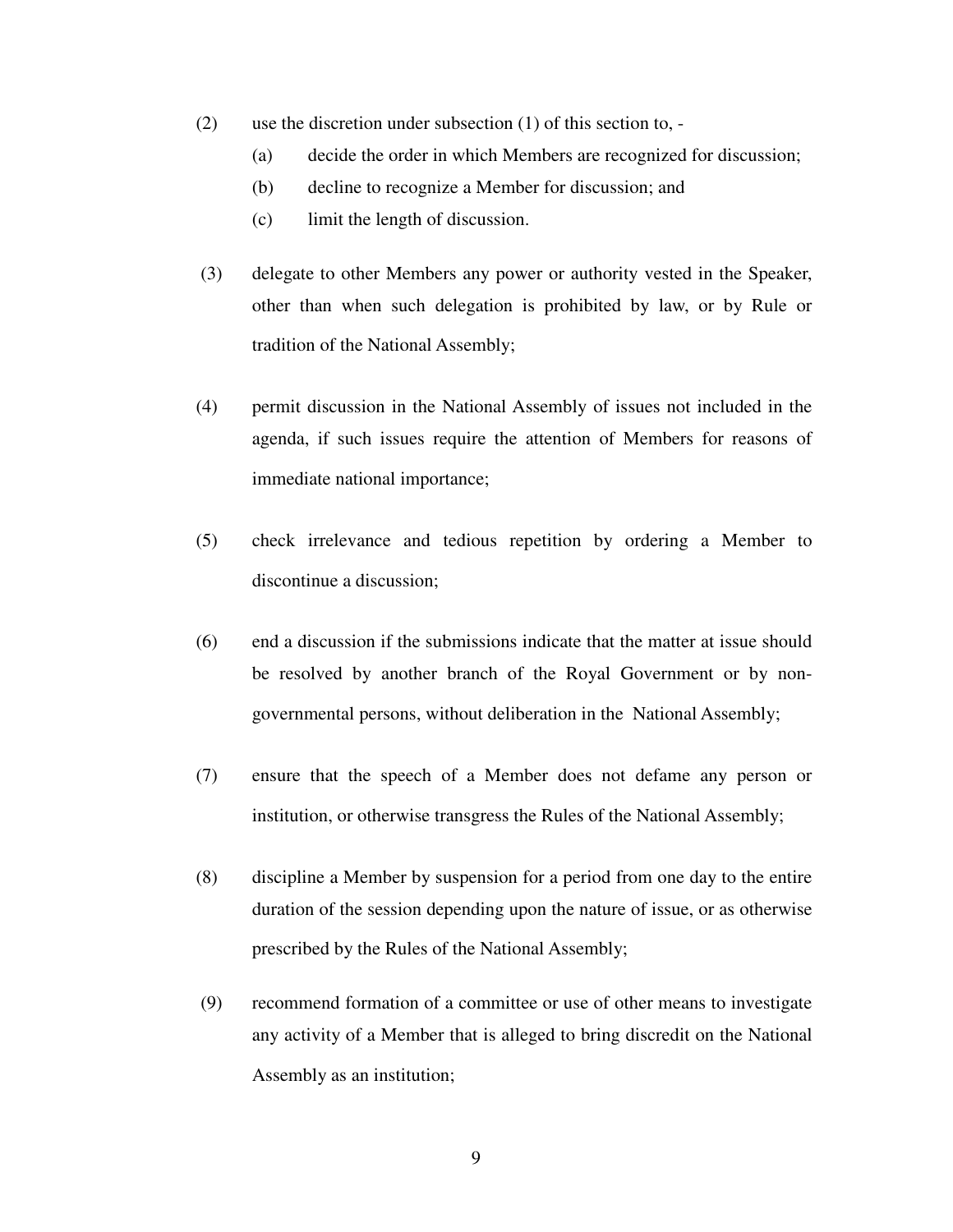- (2) use the discretion under subsection (1) of this section to,
	- (a) decide the order in which Members are recognized for discussion;
	- (b) decline to recognize a Member for discussion; and
	- (c) limit the length of discussion.
- (3) delegate to other Members any power or authority vested in the Speaker, other than when such delegation is prohibited by law, or by Rule or tradition of the National Assembly;
- (4) permit discussion in the National Assembly of issues not included in the agenda, if such issues require the attention of Members for reasons of immediate national importance;
- (5) check irrelevance and tedious repetition by ordering a Member to discontinue a discussion;
- (6) end a discussion if the submissions indicate that the matter at issue should be resolved by another branch of the Royal Government or by nongovernmental persons, without deliberation in the National Assembly;
- (7) ensure that the speech of a Member does not defame any person or institution, or otherwise transgress the Rules of the National Assembly;
- (8) discipline a Member by suspension for a period from one day to the entire duration of the session depending upon the nature of issue, or as otherwise prescribed by the Rules of the National Assembly;
- (9) recommend formation of a committee or use of other means to investigate any activity of a Member that is alleged to bring discredit on the National Assembly as an institution;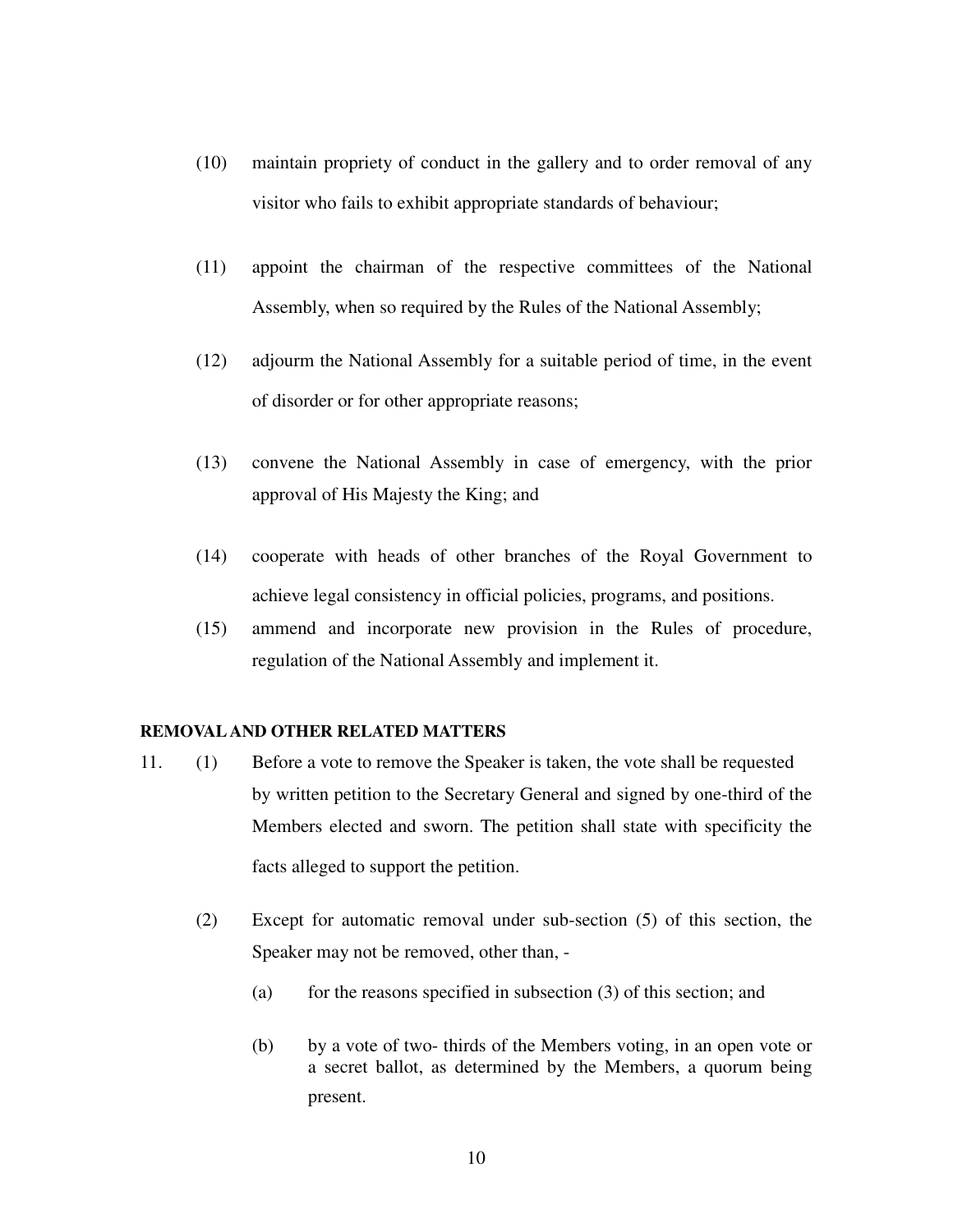- (10) maintain propriety of conduct in the gallery and to order removal of any visitor who fails to exhibit appropriate standards of behaviour;
- (11) appoint the chairman of the respective committees of the National Assembly, when so required by the Rules of the National Assembly;
- (12) adjourm the National Assembly for a suitable period of time, in the event of disorder or for other appropriate reasons;
- (13) convene the National Assembly in case of emergency, with the prior approval of His Majesty the King; and
- (14) cooperate with heads of other branches of the Royal Government to achieve legal consistency in official policies, programs, and positions.
- (15) ammend and incorporate new provision in the Rules of procedure, regulation of the National Assembly and implement it.

#### **REMOVAL AND OTHER RELATED MATTERS**

- 11. (1) Before a vote to remove the Speaker is taken, the vote shall be requested by written petition to the Secretary General and signed by one-third of the Members elected and sworn. The petition shall state with specificity the facts alleged to support the petition.
	- (2) Except for automatic removal under sub-section (5) of this section, the Speaker may not be removed, other than, -
		- (a) for the reasons specified in subsection  $(3)$  of this section; and
		- (b) by a vote of two- thirds of the Members voting, in an open vote or a secret ballot, as determined by the Members, a quorum being present.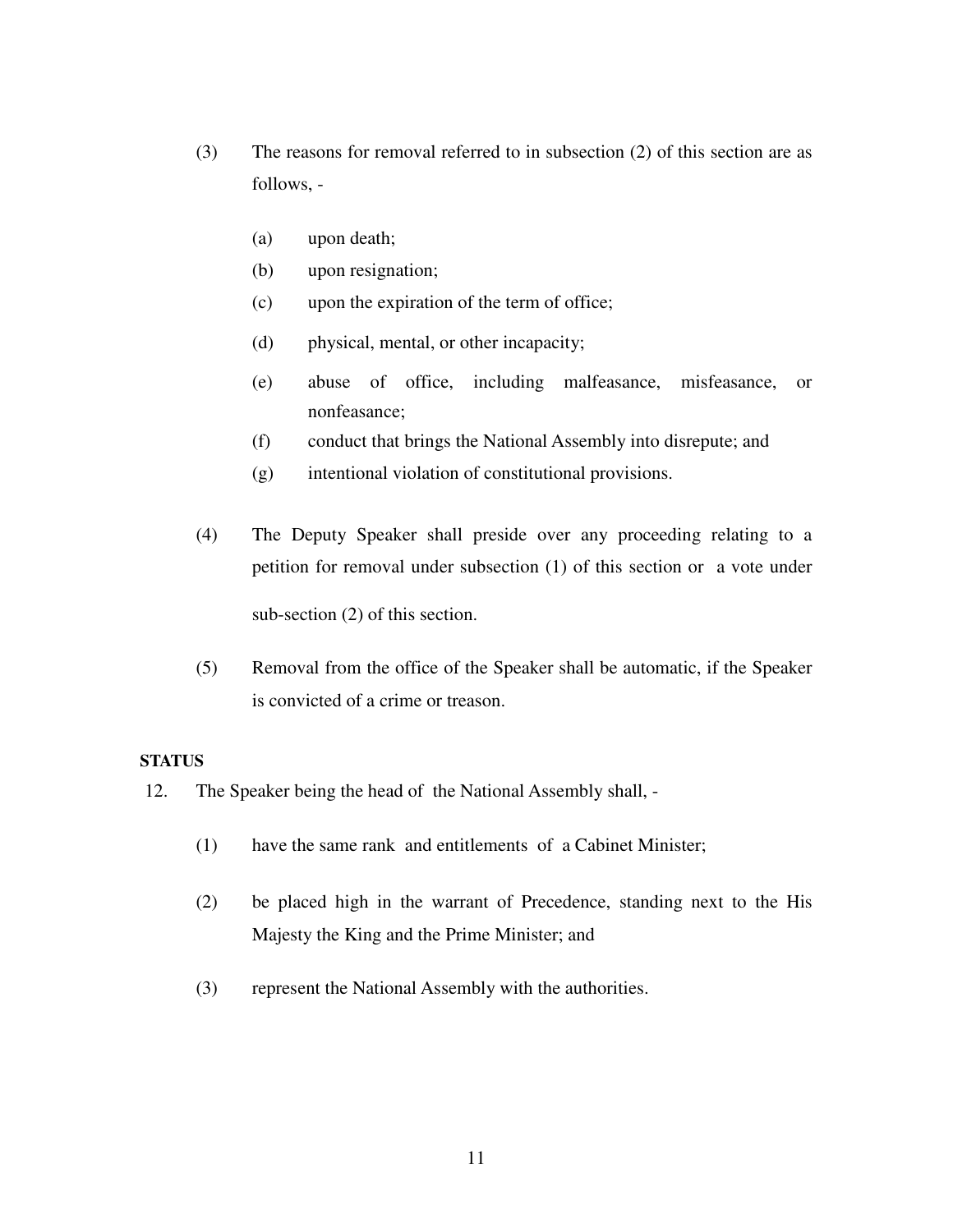- (3) The reasons for removal referred to in subsection (2) of this section are as follows, -
	- (a) upon death;
	- (b) upon resignation;
	- (c) upon the expiration of the term of office;
	- (d) physical, mental, or other incapacity;
	- (e) abuse of office, including malfeasance, misfeasance, or nonfeasance;
	- (f) conduct that brings the National Assembly into disrepute; and
	- (g) intentional violation of constitutional provisions.
- (4) The Deputy Speaker shall preside over any proceeding relating to a petition for removal under subsection (1) of this section or a vote under sub-section (2) of this section.
- (5) Removal from the office of the Speaker shall be automatic, if the Speaker is convicted of a crime or treason.

### **STATUS**

- 12. The Speaker being the head of the National Assembly shall,
	- (1) have the same rank and entitlements of a Cabinet Minister;
	- (2) be placed high in the warrant of Precedence, standing next to the His Majesty the King and the Prime Minister; and
	- (3) represent the National Assembly with the authorities.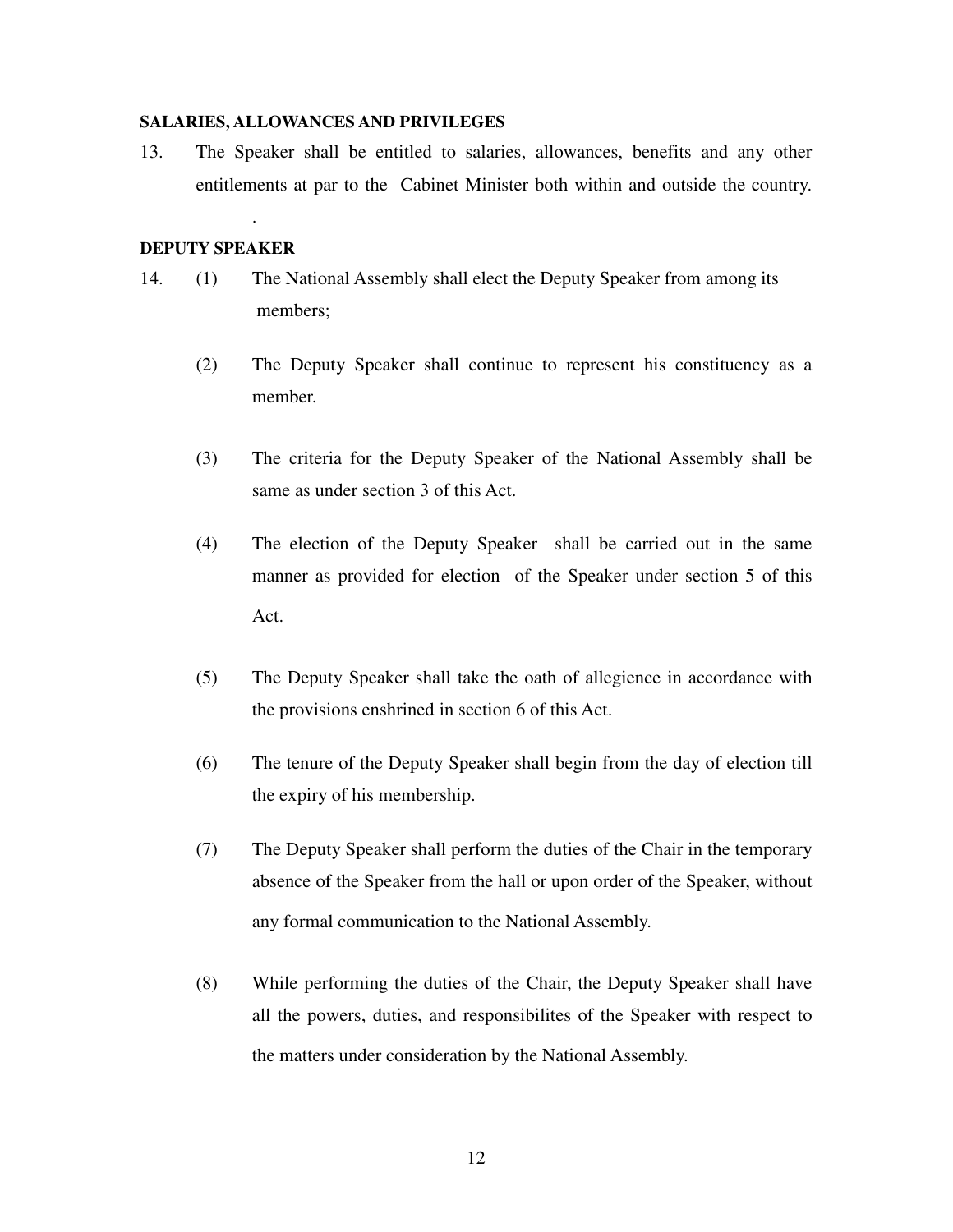#### **SALARIES, ALLOWANCES AND PRIVILEGES**

13. The Speaker shall be entitled to salaries, allowances, benefits and any other entitlements at par to the Cabinet Minister both within and outside the country.

### **DEPUTY SPEAKER**

.

- 14. (1) The National Assembly shall elect the Deputy Speaker from among its members;
	- (2) The Deputy Speaker shall continue to represent his constituency as a member.
	- (3) The criteria for the Deputy Speaker of the National Assembly shall be same as under section 3 of this Act.
	- (4) The election of the Deputy Speaker shall be carried out in the same manner as provided for election of the Speaker under section 5 of this Act.
	- (5) The Deputy Speaker shall take the oath of allegience in accordance with the provisions enshrined in section 6 of this Act.
	- (6) The tenure of the Deputy Speaker shall begin from the day of election till the expiry of his membership.
	- (7) The Deputy Speaker shall perform the duties of the Chair in the temporary absence of the Speaker from the hall or upon order of the Speaker, without any formal communication to the National Assembly.
	- (8) While performing the duties of the Chair, the Deputy Speaker shall have all the powers, duties, and responsibilites of the Speaker with respect to the matters under consideration by the National Assembly.